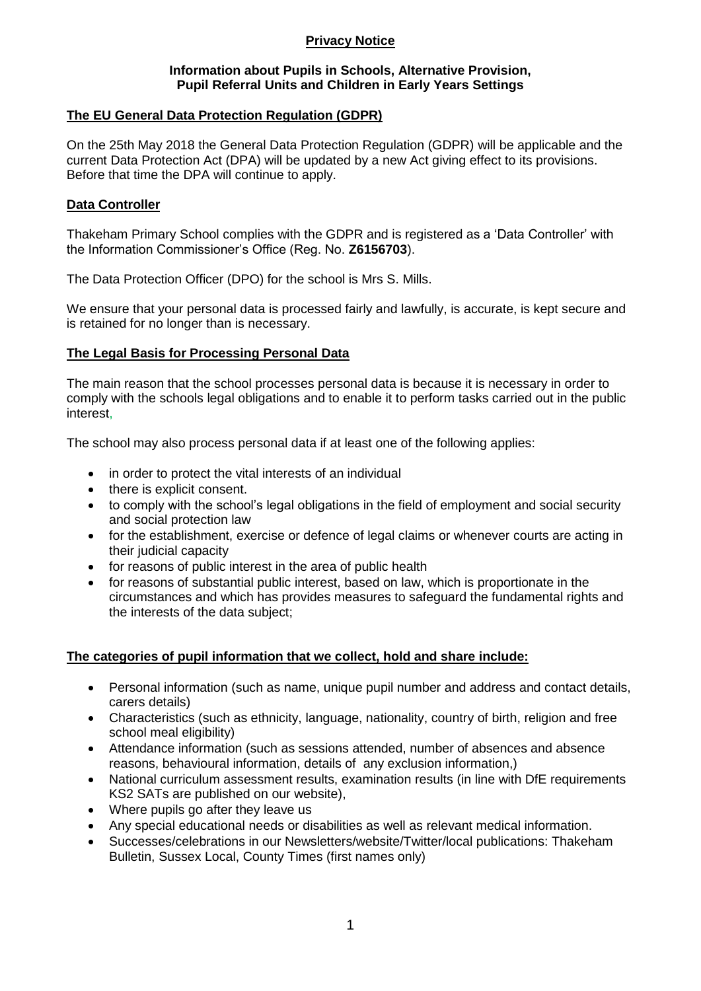# **Privacy Notice**

#### **Information about Pupils in Schools, Alternative Provision, Pupil Referral Units and Children in Early Years Settings**

## **The EU General Data Protection Regulation (GDPR)**

On the 25th May 2018 the General Data Protection Regulation (GDPR) will be applicable and the current Data Protection Act (DPA) will be updated by a new Act giving effect to its provisions. Before that time the DPA will continue to apply.

## **Data Controller**

Thakeham Primary School complies with the GDPR and is registered as a 'Data Controller' with the Information Commissioner's Office (Reg. No. **Z6156703**).

The Data Protection Officer (DPO) for the school is Mrs S. Mills.

We ensure that your personal data is processed fairly and lawfully, is accurate, is kept secure and is retained for no longer than is necessary.

# **The Legal Basis for Processing Personal Data**

The main reason that the school processes personal data is because it is necessary in order to comply with the schools legal obligations and to enable it to perform tasks carried out in the public interest,

The school may also process personal data if at least one of the following applies:

- in order to protect the vital interests of an individual
- there is explicit consent.
- to comply with the school's legal obligations in the field of employment and social security and social protection law
- for the establishment, exercise or defence of legal claims or whenever courts are acting in their judicial capacity
- for reasons of public interest in the area of public health
- for reasons of substantial public interest, based on law, which is proportionate in the circumstances and which has provides measures to safeguard the fundamental rights and the interests of the data subject;

### **The categories of pupil information that we collect, hold and share include:**

- Personal information (such as name, unique pupil number and address and contact details, carers details)
- Characteristics (such as ethnicity, language, nationality, country of birth, religion and free school meal eligibility)
- Attendance information (such as sessions attended, number of absences and absence reasons, behavioural information, details of any exclusion information,)
- National curriculum assessment results, examination results (in line with DfE requirements KS2 SATs are published on our website),
- Where pupils go after they leave us
- Any special educational needs or disabilities as well as relevant medical information.
- Successes/celebrations in our Newsletters/website/Twitter/local publications: Thakeham Bulletin, Sussex Local, County Times (first names only)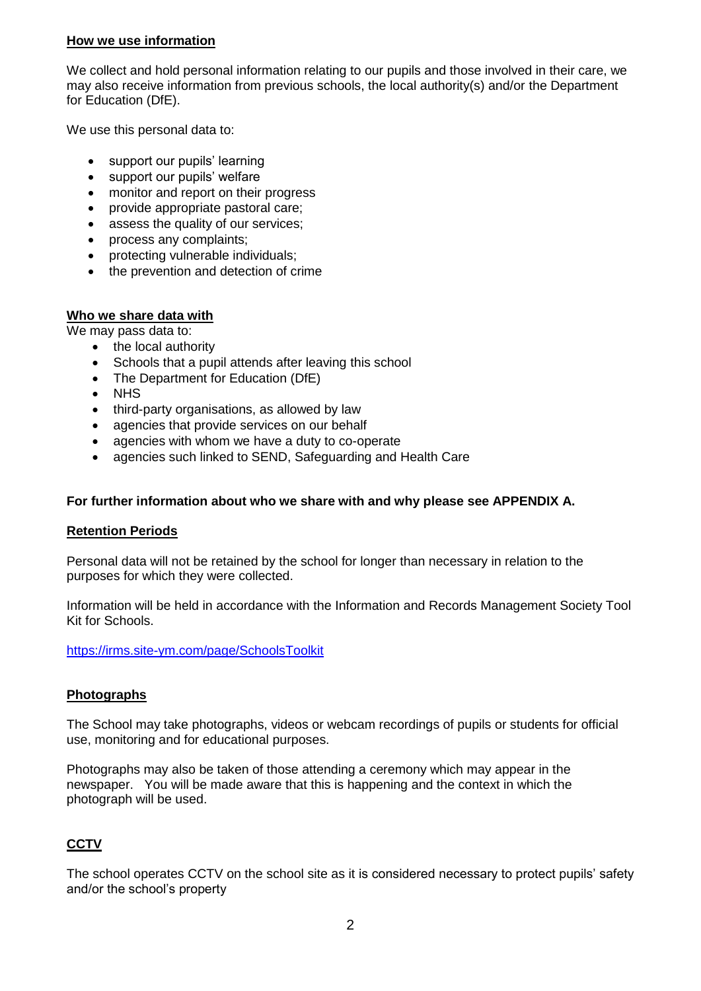## **How we use information**

We collect and hold personal information relating to our pupils and those involved in their care, we may also receive information from previous schools, the local authority(s) and/or the Department for Education (DfE).

We use this personal data to:

- support our pupils' learning
- support our pupils' welfare
- monitor and report on their progress
- provide appropriate pastoral care;
- assess the quality of our services;
- process any complaints;
- protecting vulnerable individuals;
- the prevention and detection of crime

### **Who we share data with**

We may pass data to:

- the local authority
- Schools that a pupil attends after leaving this school
- The Department for Education (DfE)
- NHS
- third-party organisations, as allowed by law
- agencies that provide services on our behalf
- agencies with whom we have a duty to co-operate
- agencies such linked to SEND, Safeguarding and Health Care

## **For further information about who we share with and why please see APPENDIX A.**

### **Retention Periods**

Personal data will not be retained by the school for longer than necessary in relation to the purposes for which they were collected.

Information will be held in accordance with the Information and Records Management Society Tool Kit for Schools.

<https://irms.site-ym.com/page/SchoolsToolkit>

### **Photographs**

The School may take photographs, videos or webcam recordings of pupils or students for official use, monitoring and for educational purposes.

Photographs may also be taken of those attending a ceremony which may appear in the newspaper. You will be made aware that this is happening and the context in which the photograph will be used.

# **CCTV**

The school operates CCTV on the school site as it is considered necessary to protect pupils' safety and/or the school's property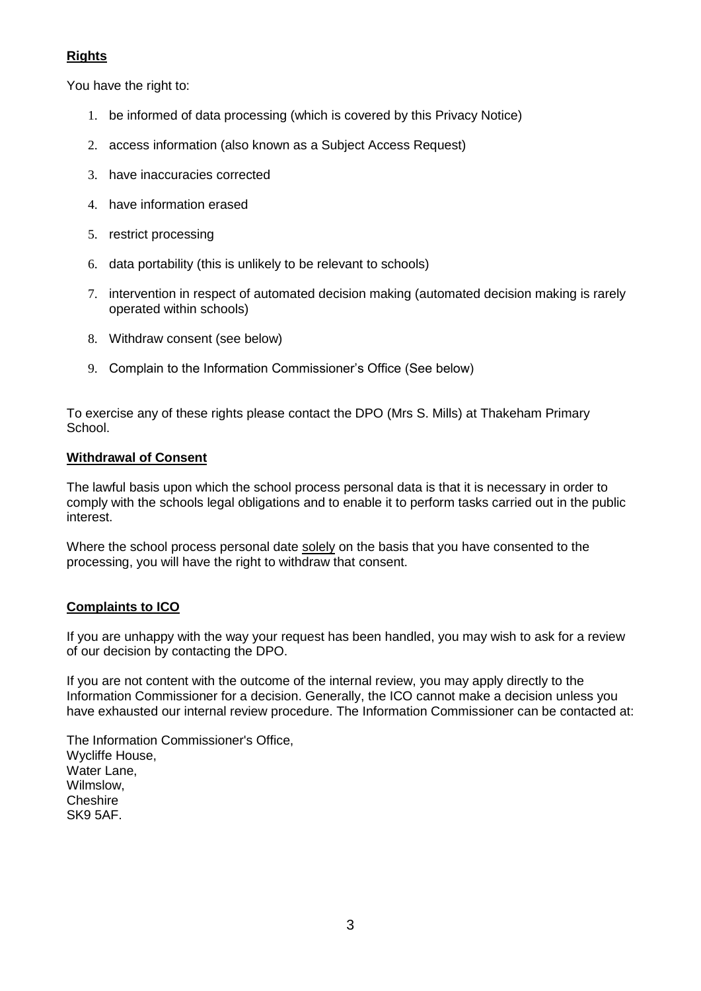# **Rights**

You have the right to:

- 1. be informed of data processing (which is covered by this Privacy Notice)
- 2. access information (also known as a Subject Access Request)
- 3. have inaccuracies corrected
- 4. have information erased
- 5. restrict processing
- 6. data portability (this is unlikely to be relevant to schools)
- 7. intervention in respect of automated decision making (automated decision making is rarely operated within schools)
- 8. Withdraw consent (see below)
- 9. Complain to the Information Commissioner's Office (See below)

To exercise any of these rights please contact the DPO (Mrs S. Mills) at Thakeham Primary School.

### **Withdrawal of Consent**

The lawful basis upon which the school process personal data is that it is necessary in order to comply with the schools legal obligations and to enable it to perform tasks carried out in the public interest.

Where the school process personal date solely on the basis that you have consented to the processing, you will have the right to withdraw that consent.

# **Complaints to ICO**

If you are unhappy with the way your request has been handled, you may wish to ask for a review of our decision by contacting the DPO.

If you are not content with the outcome of the internal review, you may apply directly to the Information Commissioner for a decision. Generally, the ICO cannot make a decision unless you have exhausted our internal review procedure. The Information Commissioner can be contacted at:

The Information Commissioner's Office, Wycliffe House, Water Lane, Wilmslow, **Cheshire** SK9 5AF.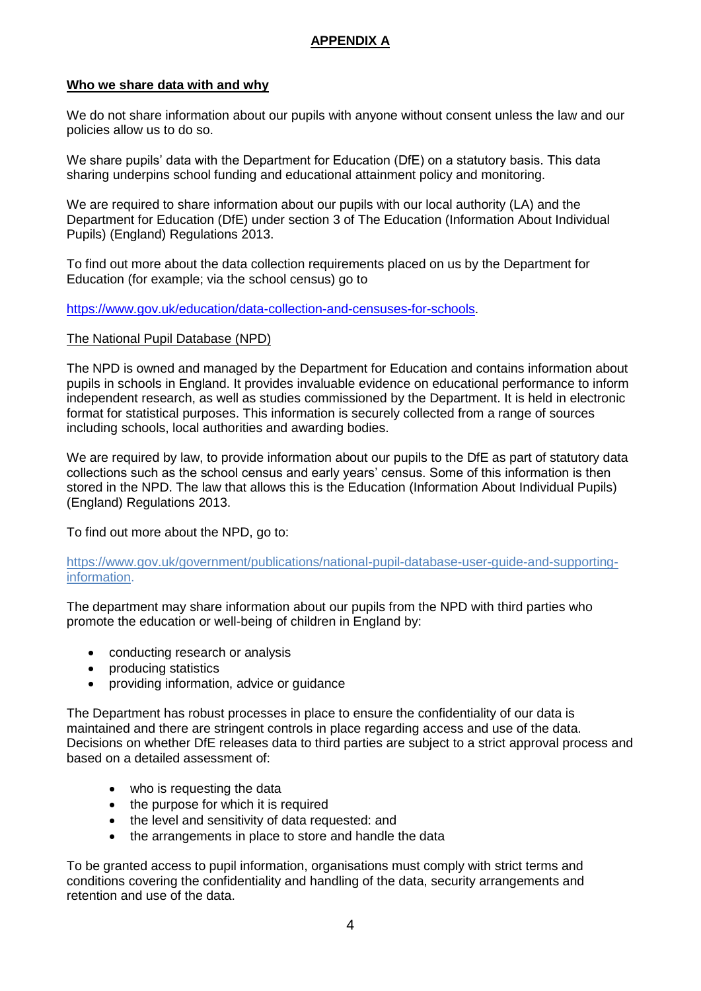# **APPENDIX A**

## **Who we share data with and why**

We do not share information about our pupils with anyone without consent unless the law and our policies allow us to do so.

We share pupils' data with the Department for Education (DfE) on a statutory basis. This data sharing underpins school funding and educational attainment policy and monitoring.

We are required to share information about our pupils with our local authority (LA) and the Department for Education (DfE) under section 3 of The Education (Information About Individual Pupils) (England) Regulations 2013.

To find out more about the data collection requirements placed on us by the Department for Education (for example; via the school census) go to

#### [https://www.gov.uk/education/data-collection-and-censuses-for-schools.](https://www.gov.uk/education/data-collection-and-censuses-for-schools)

#### The National Pupil Database (NPD)

The NPD is owned and managed by the Department for Education and contains information about pupils in schools in England. It provides invaluable evidence on educational performance to inform independent research, as well as studies commissioned by the Department. It is held in electronic format for statistical purposes. This information is securely collected from a range of sources including schools, local authorities and awarding bodies.

We are required by law, to provide information about our pupils to the DfE as part of statutory data collections such as the school census and early years' census. Some of this information is then stored in the NPD. The law that allows this is the Education (Information About Individual Pupils) (England) Regulations 2013.

To find out more about the NPD, go to:

[https://www.gov.uk/government/publications/national-pupil-database-user-guide-and-supporting](https://www.gov.uk/government/publications/national-pupil-database-user-guide-and-supporting-information)[information.](https://www.gov.uk/government/publications/national-pupil-database-user-guide-and-supporting-information)

The department may share information about our pupils from the NPD with third parties who promote the education or well-being of children in England by:

- conducting research or analysis
- producing statistics
- providing information, advice or guidance

The Department has robust processes in place to ensure the confidentiality of our data is maintained and there are stringent controls in place regarding access and use of the data. Decisions on whether DfE releases data to third parties are subject to a strict approval process and based on a detailed assessment of:

- who is requesting the data
- the purpose for which it is required
- the level and sensitivity of data requested: and
- the arrangements in place to store and handle the data

To be granted access to pupil information, organisations must comply with strict terms and conditions covering the confidentiality and handling of the data, security arrangements and retention and use of the data.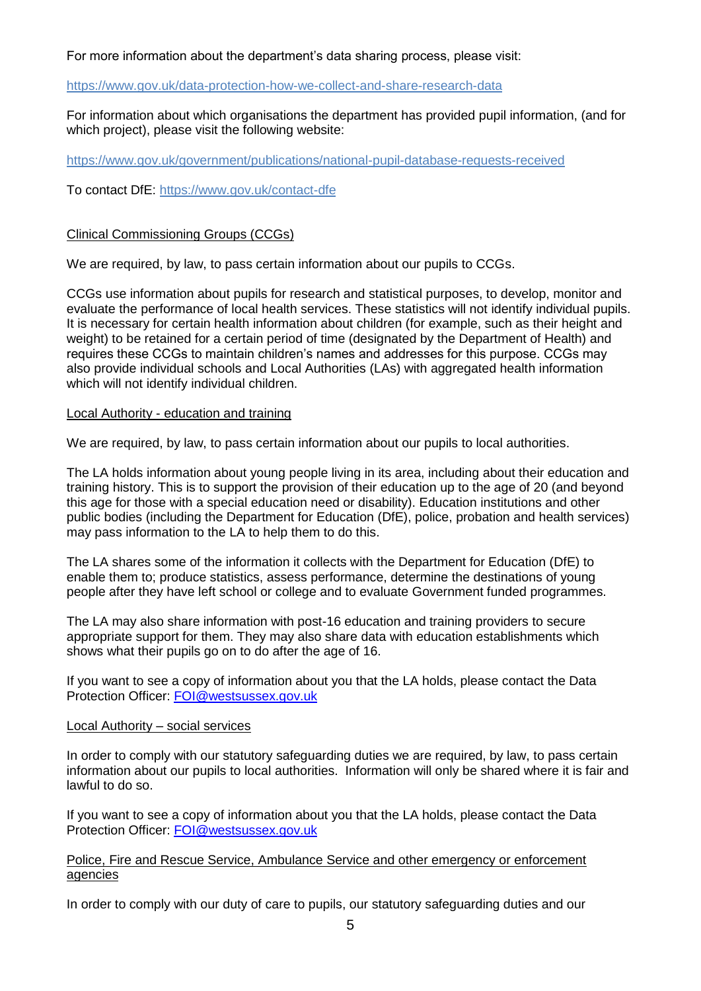For more information about the department's data sharing process, please visit:

#### <https://www.gov.uk/data-protection-how-we-collect-and-share-research-data>

For information about which organisations the department has provided pupil information, (and for which project), please visit the following website:

<https://www.gov.uk/government/publications/national-pupil-database-requests-received>

To contact DfE:<https://www.gov.uk/contact-dfe>

#### Clinical Commissioning Groups (CCGs)

We are required, by law, to pass certain information about our pupils to CCGs.

CCGs use information about pupils for research and statistical purposes, to develop, monitor and evaluate the performance of local health services. These statistics will not identify individual pupils. It is necessary for certain health information about children (for example, such as their height and weight) to be retained for a certain period of time (designated by the Department of Health) and requires these CCGs to maintain children's names and addresses for this purpose. CCGs may also provide individual schools and Local Authorities (LAs) with aggregated health information which will not identify individual children.

#### Local Authority - education and training

We are required, by law, to pass certain information about our pupils to local authorities.

The LA holds information about young people living in its area, including about their education and training history. This is to support the provision of their education up to the age of 20 (and beyond this age for those with a special education need or disability). Education institutions and other public bodies (including the Department for Education (DfE), police, probation and health services) may pass information to the LA to help them to do this.

The LA shares some of the information it collects with the Department for Education (DfE) to enable them to; produce statistics, assess performance, determine the destinations of young people after they have left school or college and to evaluate Government funded programmes.

The LA may also share information with post-16 education and training providers to secure appropriate support for them. They may also share data with education establishments which shows what their pupils go on to do after the age of 16.

If you want to see a copy of information about you that the LA holds, please contact the Data Protection Officer: [FOI@westsussex.gov.uk](mailto:FOI@westsussex.gov.uk)

#### Local Authority – social services

In order to comply with our statutory safeguarding duties we are required, by law, to pass certain information about our pupils to local authorities. Information will only be shared where it is fair and lawful to do so.

If you want to see a copy of information about you that the LA holds, please contact the Data Protection Officer: [FOI@westsussex.gov.uk](mailto:FOI@westsussex.gov.uk)

#### Police, Fire and Rescue Service, Ambulance Service and other emergency or enforcement agencies

In order to comply with our duty of care to pupils, our statutory safeguarding duties and our